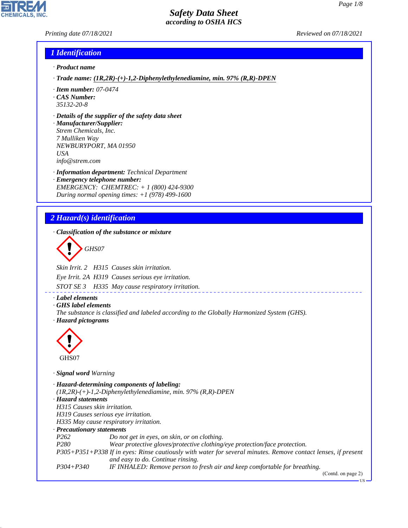*Printing date 07/18/2021 Reviewed on 07/18/2021*

### *1 Identification*

- *· Product name*
- *· Trade name: (1R,2R)-(+)-1,2-Diphenylethylenediamine, min. 97% (R,R)-DPEN*
- *· Item number: 07-0474*
- *· CAS Number: 35132-20-8*
- *· Details of the supplier of the safety data sheet*
- *· Manufacturer/Supplier: Strem Chemicals, Inc. 7 Mulliken Way NEWBURYPORT, MA 01950 USA info@strem.com*
- *· Information department: Technical Department · Emergency telephone number: EMERGENCY: CHEMTREC: + 1 (800) 424-9300 During normal opening times: +1 (978) 499-1600*

# *2 Hazard(s) identification*

*· Classification of the substance or mixture*

d~*GHS07*

*Skin Irrit. 2 H315 Causes skin irritation.*

*Eye Irrit. 2A H319 Causes serious eye irritation.*

*STOT SE 3 H335 May cause respiratory irritation.*

- *· Label elements*
- *· GHS label elements*
- *The substance is classified and labeled according to the Globally Harmonized System (GHS). · Hazard pictograms*



44.1.1

*· Signal word Warning*

*· Hazard-determining components of labeling: (1R,2R)-(+)-1,2-Diphenylethylenediamine, min. 97% (R,R)-DPEN · Hazard statements H315 Causes skin irritation. H319 Causes serious eye irritation. H335 May cause respiratory irritation. · Precautionary statements P262 Do not get in eyes, on skin, or on clothing. P280 Wear protective gloves/protective clothing/eye protection/face protection. P305+P351+P338 If in eyes: Rinse cautiously with water for several minutes. Remove contact lenses, if present and easy to do. Continue rinsing. P304+P340 IF INHALED: Remove person to fresh air and keep comfortable for breathing.*

(Contd. on page 2)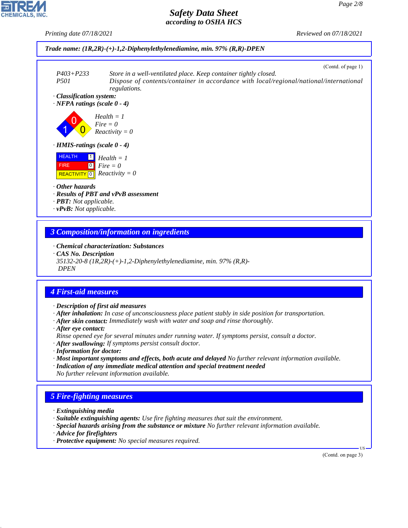*Printing date 07/18/2021 Reviewed on 07/18/2021*



## *3 Composition/information on ingredients*

*· Chemical characterization: Substances*

*· CAS No. Description*

*35132-20-8 (1R,2R)-(+)-1,2-Diphenylethylenediamine, min. 97% (R,R)- DPEN*

# *4 First-aid measures*

- *· Description of first aid measures*
- *· After inhalation: In case of unconsciousness place patient stably in side position for transportation.*
- *· After skin contact: Immediately wash with water and soap and rinse thoroughly.*
- *· After eye contact:*
- *Rinse opened eye for several minutes under running water. If symptoms persist, consult a doctor.*
- *· After swallowing: If symptoms persist consult doctor.*
- *· Information for doctor:*
- *· Most important symptoms and effects, both acute and delayed No further relevant information available.*
- *· Indication of any immediate medical attention and special treatment needed No further relevant information available.*

# *5 Fire-fighting measures*

- *· Extinguishing media*
- *· Suitable extinguishing agents: Use fire fighting measures that suit the environment.*
- *· Special hazards arising from the substance or mixture No further relevant information available.*
- *· Advice for firefighters*

44.1.1

*· Protective equipment: No special measures required.*

(Contd. on page 3)

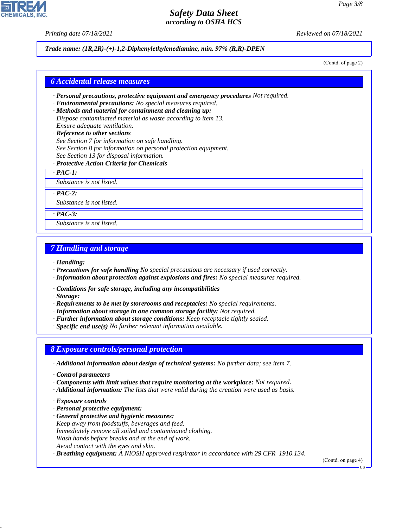*Printing date 07/18/2021 Reviewed on 07/18/2021*

#### *Trade name: (1R,2R)-(+)-1,2-Diphenylethylenediamine, min. 97% (R,R)-DPEN*

(Contd. of page 2)

#### *6 Accidental release measures*

- *· Personal precautions, protective equipment and emergency procedures Not required.*
- *· Environmental precautions: No special measures required.*
- *· Methods and material for containment and cleaning up: Dispose contaminated material as waste according to item 13. Ensure adequate ventilation.*
- *· Reference to other sections See Section 7 for information on safe handling. See Section 8 for information on personal protection equipment. See Section 13 for disposal information.*
- *· Protective Action Criteria for Chemicals*

*· PAC-1:*

*Substance is not listed.*

*· PAC-2:*

*Substance is not listed.*

*· PAC-3:*

*Substance is not listed.*

### *7 Handling and storage*

*· Handling:*

- *· Precautions for safe handling No special precautions are necessary if used correctly.*
- *· Information about protection against explosions and fires: No special measures required.*
- *· Conditions for safe storage, including any incompatibilities*

*· Storage:*

- *· Requirements to be met by storerooms and receptacles: No special requirements.*
- *· Information about storage in one common storage facility: Not required.*
- *· Further information about storage conditions: Keep receptacle tightly sealed.*
- *· Specific end use(s) No further relevant information available.*

#### *8 Exposure controls/personal protection*

- *· Additional information about design of technical systems: No further data; see item 7.*
- *· Control parameters*
- *· Components with limit values that require monitoring at the workplace: Not required.*
- *· Additional information: The lists that were valid during the creation were used as basis.*
- *· Exposure controls*

44.1.1

- *· Personal protective equipment:*
- *· General protective and hygienic measures: Keep away from foodstuffs, beverages and feed. Immediately remove all soiled and contaminated clothing. Wash hands before breaks and at the end of work. Avoid contact with the eyes and skin.*
- *· Breathing equipment: A NIOSH approved respirator in accordance with 29 CFR 1910.134.*

(Contd. on page 4)



US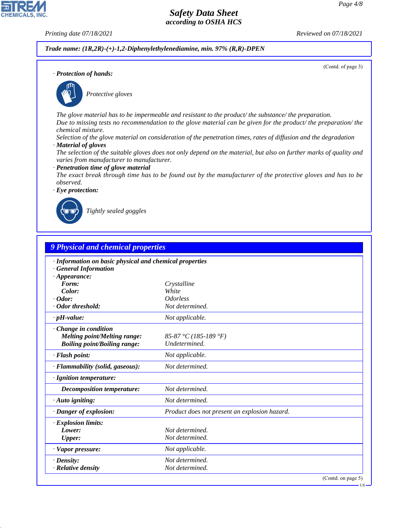**CHEMICALS, INC** 

*Printing date 07/18/2021 Reviewed on 07/18/2021*

*Trade name: (1R,2R)-(+)-1,2-Diphenylethylenediamine, min. 97% (R,R)-DPEN*

(Contd. of page 3)

*· Protection of hands:*



\_S*Protective gloves*

*The glove material has to be impermeable and resistant to the product/ the substance/ the preparation. Due to missing tests no recommendation to the glove material can be given for the product/ the preparation/ the chemical mixture.*

*Selection of the glove material on consideration of the penetration times, rates of diffusion and the degradation · Material of gloves*

*The selection of the suitable gloves does not only depend on the material, but also on further marks of quality and varies from manufacturer to manufacturer.*

*· Penetration time of glove material*

*The exact break through time has to be found out by the manufacturer of the protective gloves and has to be observed.*

*· Eye protection:*



44.1.1

\_R*Tightly sealed goggles*

| <b>9 Physical and chemical properties</b>               |                                               |  |
|---------------------------------------------------------|-----------------------------------------------|--|
| · Information on basic physical and chemical properties |                                               |  |
| <b>General Information</b>                              |                                               |  |
| $\cdot$ Appearance:                                     |                                               |  |
| Form:                                                   | Crystalline                                   |  |
| Color:                                                  | White                                         |  |
| $\cdot$ Odor:                                           | <i><u><b>Odorless</b></u></i>                 |  |
| · Odor threshold:                                       | Not determined.                               |  |
| $\cdot$ pH-value:                                       | Not applicable.                               |  |
| Change in condition                                     |                                               |  |
| <b>Melting point/Melting range:</b>                     | 85-87 °C (185-189 °F)                         |  |
| <b>Boiling point/Boiling range:</b>                     | Undetermined.                                 |  |
| · Flash point:                                          | Not applicable.                               |  |
| · Flammability (solid, gaseous):                        | Not determined.                               |  |
| · Ignition temperature:                                 |                                               |  |
| Decomposition temperature:                              | Not determined.                               |  |
| $\cdot$ Auto igniting:                                  | Not determined.                               |  |
| · Danger of explosion:                                  | Product does not present an explosion hazard. |  |
| · Explosion limits:                                     |                                               |  |
| Lower:                                                  | Not determined.                               |  |
| <b>Upper:</b>                                           | Not determined.                               |  |
| $\cdot$ Vapor pressure:                                 | Not applicable.                               |  |
| $\cdot$ Density:                                        | Not determined.                               |  |
| $\cdot$ Relative density                                | Not determined.                               |  |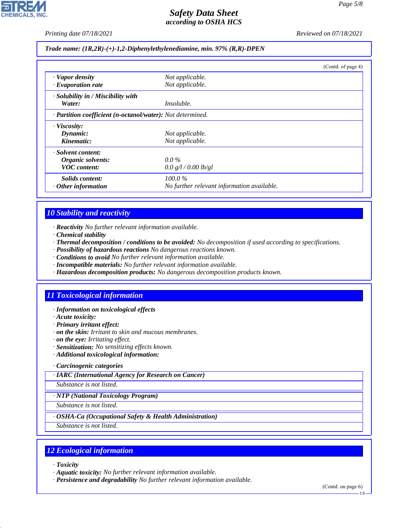*Printing date 07/18/2021 Reviewed on 07/18/2021*

*Trade name: (1R,2R)-(+)-1,2-Diphenylethylenediamine, min. 97% (R,R)-DPEN*

|                                                            |                                            | (Contd. of page 4) |
|------------------------------------------------------------|--------------------------------------------|--------------------|
| · Vapor density                                            | Not applicable.                            |                    |
| $\cdot$ Evaporation rate                                   | Not applicable.                            |                    |
| · Solubility in / Miscibility with                         |                                            |                    |
| Water:                                                     | Insoluble.                                 |                    |
| · Partition coefficient (n-octanol/water): Not determined. |                                            |                    |
| $\cdot$ Viscosity:                                         |                                            |                    |
| Dynamic:                                                   | Not applicable.                            |                    |
| Kinematic:                                                 | Not applicable.                            |                    |
| · Solvent content:                                         |                                            |                    |
| Organic solvents:                                          | $0.0\%$                                    |                    |
| <b>VOC</b> content:                                        | 0.0 g/l / 0.00 lb/gl                       |                    |
| Solids content:                                            | 100.0%                                     |                    |
| $\cdot$ Other information                                  | No further relevant information available. |                    |

# *10 Stability and reactivity*

- *· Reactivity No further relevant information available.*
- *· Chemical stability*
- *· Thermal decomposition / conditions to be avoided: No decomposition if used according to specifications.*
- *· Possibility of hazardous reactions No dangerous reactions known.*
- *· Conditions to avoid No further relevant information available.*
- *· Incompatible materials: No further relevant information available.*
- *· Hazardous decomposition products: No dangerous decomposition products known.*

# *11 Toxicological information*

- *· Information on toxicological effects*
- *· Acute toxicity:*
- *· Primary irritant effect:*
- *· on the skin: Irritant to skin and mucous membranes.*
- *· on the eye: Irritating effect.*
- *· Sensitization: No sensitizing effects known.*
- *· Additional toxicological information:*

#### *· Carcinogenic categories*

*· IARC (International Agency for Research on Cancer)*

*Substance is not listed.*

### *· NTP (National Toxicology Program)*

*Substance is not listed.*

### *· OSHA-Ca (Occupational Safety & Health Administration)*

*Substance is not listed.*

# *12 Ecological information*

*· Toxicity*

44.1.1

- *· Aquatic toxicity: No further relevant information available.*
- *· Persistence and degradability No further relevant information available.*

(Contd. on page 6) US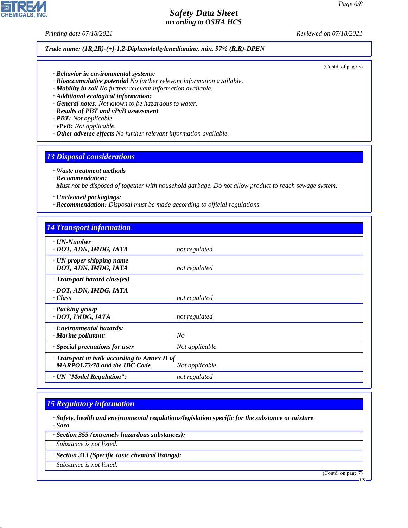**CHEMICALS, INC** 

*Printing date 07/18/2021 Reviewed on 07/18/2021*

#### *Trade name: (1R,2R)-(+)-1,2-Diphenylethylenediamine, min. 97% (R,R)-DPEN*

(Contd. of page 5)

- *· Behavior in environmental systems:*
- *· Bioaccumulative potential No further relevant information available.*
- *· Mobility in soil No further relevant information available.*
- *· Additional ecological information:*
- *· General notes: Not known to be hazardous to water.*
- *· Results of PBT and vPvB assessment*
- *· PBT: Not applicable.*
- *· vPvB: Not applicable.*
- *· Other adverse effects No further relevant information available.*

### *13 Disposal considerations*

#### *· Waste treatment methods*

*· Recommendation:*

*Must not be disposed of together with household garbage. Do not allow product to reach sewage system.*

- *· Uncleaned packagings:*
- *· Recommendation: Disposal must be made according to official regulations.*

| <b>14 Transport information</b>                                                     |                 |
|-------------------------------------------------------------------------------------|-----------------|
| $\cdot$ UN-Number<br>· DOT, ADN, IMDG, IATA                                         | not regulated   |
| $\cdot$ UN proper shipping name<br>· DOT, ADN, IMDG, IATA                           | not regulated   |
| $\cdot$ Transport hazard class(es)                                                  |                 |
| · DOT, ADN, IMDG, IATA<br>· Class                                                   | not regulated   |
| · Packing group<br>· DOT, IMDG, IATA                                                | not regulated   |
| · Environmental hazards:<br>$\cdot$ Marine pollutant:                               | No              |
| $\cdot$ Special precautions for user                                                | Not applicable. |
| · Transport in bulk according to Annex II of<br><b>MARPOL73/78 and the IBC Code</b> | Not applicable. |
| · UN "Model Regulation":                                                            | not regulated   |

## *15 Regulatory information*

- *· Safety, health and environmental regulations/legislation specific for the substance or mixture · Sara*
- *· Section 355 (extremely hazardous substances):*
- *Substance is not listed.*
- *· Section 313 (Specific toxic chemical listings):*
- *Substance is not listed.*

44.1.1

(Contd. on page 7)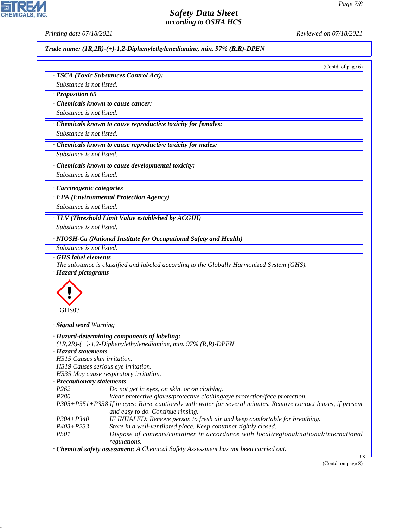*Printing date 07/18/2021 Reviewed on 07/18/2021*

*Trade name: (1R,2R)-(+)-1,2-Diphenylethylenediamine, min. 97% (R,R)-DPEN*

(Contd. of page 6)

|                                                                       | · TSCA (Toxic Substances Control Act):                                                                                                                                                                                                                                                                          |
|-----------------------------------------------------------------------|-----------------------------------------------------------------------------------------------------------------------------------------------------------------------------------------------------------------------------------------------------------------------------------------------------------------|
| Substance is not listed.                                              |                                                                                                                                                                                                                                                                                                                 |
| · Proposition 65                                                      |                                                                                                                                                                                                                                                                                                                 |
|                                                                       | Chemicals known to cause cancer:                                                                                                                                                                                                                                                                                |
| Substance is not listed.                                              |                                                                                                                                                                                                                                                                                                                 |
|                                                                       | · Chemicals known to cause reproductive toxicity for females:                                                                                                                                                                                                                                                   |
| Substance is not listed.                                              |                                                                                                                                                                                                                                                                                                                 |
|                                                                       | Chemicals known to cause reproductive toxicity for males:                                                                                                                                                                                                                                                       |
| Substance is not listed.                                              |                                                                                                                                                                                                                                                                                                                 |
|                                                                       |                                                                                                                                                                                                                                                                                                                 |
|                                                                       | Chemicals known to cause developmental toxicity:                                                                                                                                                                                                                                                                |
| Substance is not listed.                                              |                                                                                                                                                                                                                                                                                                                 |
| · Carcinogenic categories                                             |                                                                                                                                                                                                                                                                                                                 |
|                                                                       | · EPA (Environmental Protection Agency)                                                                                                                                                                                                                                                                         |
| Substance is not listed.                                              |                                                                                                                                                                                                                                                                                                                 |
|                                                                       | · TLV (Threshold Limit Value established by ACGIH)                                                                                                                                                                                                                                                              |
| Substance is not listed.                                              |                                                                                                                                                                                                                                                                                                                 |
|                                                                       | · NIOSH-Ca (National Institute for Occupational Safety and Health)                                                                                                                                                                                                                                              |
|                                                                       |                                                                                                                                                                                                                                                                                                                 |
|                                                                       |                                                                                                                                                                                                                                                                                                                 |
| Substance is not listed.<br>GHS label elements<br>· Hazard pictograms | The substance is classified and labeled according to the Globally Harmonized System (GHS).                                                                                                                                                                                                                      |
|                                                                       |                                                                                                                                                                                                                                                                                                                 |
| GHS07                                                                 |                                                                                                                                                                                                                                                                                                                 |
| · Signal word Warning                                                 |                                                                                                                                                                                                                                                                                                                 |
|                                                                       | · Hazard-determining components of labeling:                                                                                                                                                                                                                                                                    |
|                                                                       | $(1R,2R)-(+)$ -1,2-Diphenylethylenediamine, min. 97% (R,R)-DPEN                                                                                                                                                                                                                                                 |
| · Hazard statements                                                   |                                                                                                                                                                                                                                                                                                                 |
| H315 Causes skin irritation.                                          |                                                                                                                                                                                                                                                                                                                 |
|                                                                       | H319 Causes serious eye irritation.                                                                                                                                                                                                                                                                             |
|                                                                       | H335 May cause respiratory irritation.                                                                                                                                                                                                                                                                          |
| · Precautionary statements                                            |                                                                                                                                                                                                                                                                                                                 |
| P <sub>262</sub>                                                      | Do not get in eyes, on skin, or on clothing.                                                                                                                                                                                                                                                                    |
| P <sub>280</sub>                                                      | Wear protective gloves/protective clothing/eye protection/face protection.                                                                                                                                                                                                                                      |
|                                                                       |                                                                                                                                                                                                                                                                                                                 |
|                                                                       | and easy to do. Continue rinsing.                                                                                                                                                                                                                                                                               |
| P304+P340                                                             | IF INHALED: Remove person to fresh air and keep comfortable for breathing.                                                                                                                                                                                                                                      |
| $P403 + P233$                                                         | Store in a well-ventilated place. Keep container tightly closed.                                                                                                                                                                                                                                                |
| P501                                                                  |                                                                                                                                                                                                                                                                                                                 |
|                                                                       | P305+P351+P338 If in eyes: Rinse cautiously with water for several minutes. Remove contact lenses, if present<br>Dispose of contents/container in accordance with local/regional/national/international<br>regulations.<br>· Chemical safety assessment: A Chemical Safety Assessment has not been carried out. |



44.1.1